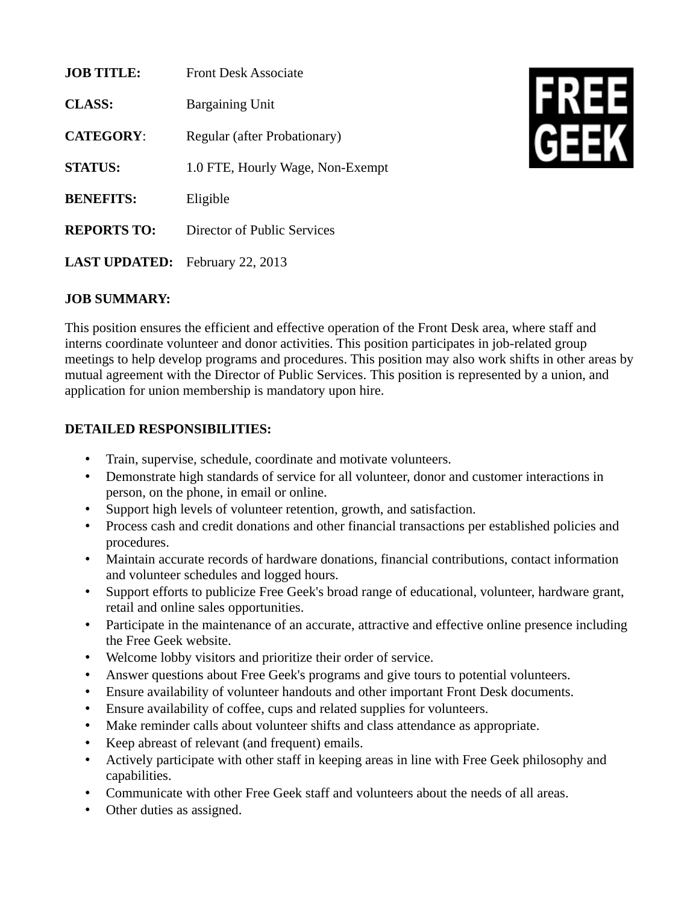| <b>JOB TITLE:</b>    | <b>Front Desk Associate</b>      |
|----------------------|----------------------------------|
| <b>CLASS:</b>        | <b>Bargaining Unit</b>           |
| <b>CATEGORY:</b>     | Regular (after Probationary)     |
| <b>STATUS:</b>       | 1.0 FTE, Hourly Wage, Non-Exempt |
| <b>BENEFITS:</b>     | Eligible                         |
| <b>REPORTS TO:</b>   | Director of Public Services      |
| <b>LAST UPDATED:</b> | <b>February 22, 2013</b>         |



## **JOB SUMMARY:**

This position ensures the efficient and effective operation of the Front Desk area, where staff and interns coordinate volunteer and donor activities. This position participates in job-related group meetings to help develop programs and procedures. This position may also work shifts in other areas by mutual agreement with the Director of Public Services. This position is represented by a union, and application for union membership is mandatory upon hire.

## **DETAILED RESPONSIBILITIES:**

- Train, supervise, schedule, coordinate and motivate volunteers.
- Demonstrate high standards of service for all volunteer, donor and customer interactions in person, on the phone, in email or online.
- Support high levels of volunteer retention, growth, and satisfaction.
- Process cash and credit donations and other financial transactions per established policies and procedures.
- Maintain accurate records of hardware donations, financial contributions, contact information and volunteer schedules and logged hours.
- Support efforts to publicize Free Geek's broad range of educational, volunteer, hardware grant, retail and online sales opportunities.
- Participate in the maintenance of an accurate, attractive and effective online presence including the Free Geek website.
- Welcome lobby visitors and prioritize their order of service.
- Answer questions about Free Geek's programs and give tours to potential volunteers.
- Ensure availability of volunteer handouts and other important Front Desk documents.
- Ensure availability of coffee, cups and related supplies for volunteers.
- Make reminder calls about volunteer shifts and class attendance as appropriate.
- Keep abreast of relevant (and frequent) emails.
- Actively participate with other staff in keeping areas in line with Free Geek philosophy and capabilities.
- Communicate with other Free Geek staff and volunteers about the needs of all areas.
- Other duties as assigned.